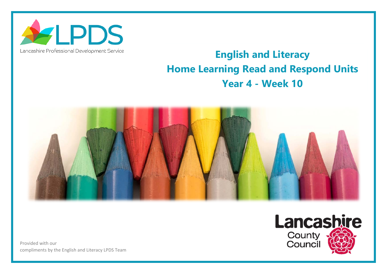

## Lancashire Professional Development Service

## **English and Literacy Home Learning Read and Respond Units Year 4 - Week 10**



Provided with our compliments by the English and Literacy LPDS Team

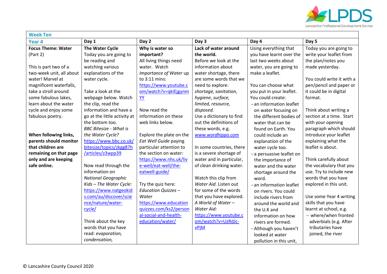

| <b>Week Ten</b>           |                               |                            |                          |                            |                           |  |  |
|---------------------------|-------------------------------|----------------------------|--------------------------|----------------------------|---------------------------|--|--|
| Year <sub>4</sub>         | Day 1                         | Day 2                      | Day 3                    | Day 4                      | Day 5                     |  |  |
| <b>Focus Theme: Water</b> | <b>The Water Cycle</b>        | Why is water so            | Lack of water around     | Using everything that      | Today you are going to    |  |  |
| (Part 2)                  | Today you are going to        | important?                 | the world.               | you have learnt over the   | write your leaflet from   |  |  |
|                           | be reading and                | All living things need     | Before we look at the    | last two weeks about       | the plan/notes you        |  |  |
| This is part two of a     | watching various              | water. Watch               | information about        | water, you are going to    | made yesterday.           |  |  |
| two-week unit, all about  | explanations of the           | Importance of Water up     | water shortage, there    | make a leaflet.            |                           |  |  |
| water! Marvel at          | water cycle.                  | to 3:11 mins:              | are some words that we   |                            | You could write it with a |  |  |
| magnificent waterfalls,   |                               | https://www.youtube.c      | need to explore:         | You can choose what        | pen/pencil and paper or   |  |  |
| take a stroll around      | Take a look at the            | om/watch?v=qkIEjgynm       | shortage, sanitation,    | you put in your leaflet.   | it could be in digital    |  |  |
| some fabulous lakes,      | webpage below. Watch          | YY                         | hygiene, surface,        | You could create:          | format.                   |  |  |
| learn about the water     | the clip, read the            |                            | limited, resource,       | $-$ an information leaflet |                           |  |  |
| cycle and enjoy some      | information and have a        | Now read the               | disposed.                | on water focusing on       | Think about writing a     |  |  |
| fabulous poetry.          | go at the little activity at  | information on these       | Use a dictionary to find | the different bodies of    | section at a time. Start  |  |  |
|                           | the bottom too.               | web links below.           | out the definitions of   | water that can be          | with your opening         |  |  |
|                           | <b>BBC Bitesize - What is</b> |                            | these words, e.g.        | found on Earth. You        | paragraph which should    |  |  |
| When following links,     | the Water Cycle?              | Explore the plate on the   | www.wordhippo.com        | could include an           | introduce your leaflet    |  |  |
| parents should monitor    | https://www.bbc.co.uk/        | Eat Well Guide paying      |                          | explanation of the         | explaining what the       |  |  |
| that children are         | bitesize/topics/zkgg87h       | particular attention to    | In some countries, there | water cycle too.           | leaflet is about.         |  |  |
| remaining on that page    | /articles/z3wpp39             | the section on water:      | is a severe shortage of  | -a persuasive leaflet on   |                           |  |  |
| only and are keeping      |                               | https://www.nhs.uk/liv     | water and in particular, | the importance of          | Think carefully about     |  |  |
| safe online.              | Now read through the          | e-well/eat-well/the-       | of clean drinking water. | water and the water        | the vocabulary that you   |  |  |
|                           | information on                | eatwell-guide/             |                          | shortage around the        | use. Try to include new   |  |  |
|                           | <b>National Geographic</b>    |                            | Watch this clip from     | word.                      | words that you have       |  |  |
|                           | Kids - The Water Cycle:       | Try the quiz here:         | Water Aid. Listen out    | -an information leaflet    | explored in this unit.    |  |  |
|                           | https://www.natgeokid         | <b>Education Quizzes -</b> | for some of the words    | on rivers. You could       |                           |  |  |
|                           | s.com/au/discover/scie        | Water                      | that you have explored.  | include rivers from        | Use some Year 4 writing   |  |  |
|                           | nce/nature/water-             | https://www.education      | A World of Water -       | around the world and       | skills that you have      |  |  |
|                           | cycle/                        | quizzes.com/ks2/person     | Water Aid:               | the U.K and                | learnt at school, e.g.    |  |  |
|                           |                               | al-social-and-health-      | https://www.youtube.c    | information on how         | - where/when fronted      |  |  |
|                           | Think about the key           | education/water/           | om/watch?v=UzRdJc-       | rivers are formed.         | adverbials (e.g. After    |  |  |
|                           | words that you have           |                            | <b>vPjM</b>              | -Although you haven't      | tributaries have          |  |  |
|                           | read: evaporation,            |                            |                          | looked at water            | joined, the river         |  |  |
|                           | condensation,                 |                            |                          | pollution in this unit,    |                           |  |  |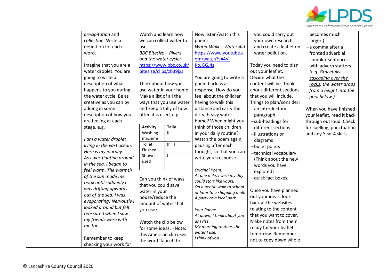

| precipitation and         | Watch and learn how             | Now listen/watch this                    | you could carry out      | becomes much               |
|---------------------------|---------------------------------|------------------------------------------|--------------------------|----------------------------|
| collection. Write a       | we can collect water to         | poem:                                    | your own research        | larger.)                   |
| definition for each       | use.                            | Water Walk - Water Aid                   | and create a leaflet on  | -a comma after a           |
| word.                     | <b>BBC Bitesize - Rivers</b>    | https://www.youtube.c                    | water pollution.         | fronted adverbial          |
|                           | and the water cycle:            | om/watch?v=4V-                           |                          | -complex sentences         |
| Imagine that you are a    | https://www.bbc.co.uk/          | KoJGGJ4s                                 | Today you need to plan   | with adverb starters       |
| water droplet. You are    | bitesize/clips/zb39jxs          |                                          | out your leaflet.        | (e.g. Gracefully           |
| going to write a          |                                 | You are going to write a                 | Decide what the          | cascading over the         |
| description of what       | Think about how you             | poem back as a                           | content will be. Think   | rocks, the water drops     |
| happens to you during     | use water in your home.         | response. How do you                     | about different sections | from a height into the     |
| the water cycle. Be as    | Make a list of all the          | feel about the children                  | that you will include.   | pool below.)               |
| creative as you can by    | ways that you use water         | having to walk this                      | Things to plan/consider: |                            |
| adding in some            | and keep a tally of how         | distance and carry the                   | -an introductory         | When you have finished     |
| description of how you    | often it is used, e.g.          | dirty, heavy water                       | paragraph                | your leaflet, read it back |
| are feeling at each       |                                 | home? When might you                     | $-sub$ -headings for     | through out loud. Check    |
| stage, e.g.               | <b>Tally</b><br><b>Activity</b> | think of those children                  | different sections       | for spelling, punctuation  |
|                           | $\rm H$<br>Washing              | in your daily routine?                   | -illustrations or        | and any Year 4 skills.     |
| I am a water droplet      | machine                         | Watch the poem again,                    | diagrams                 |                            |
| living in the vast ocean. | Ⅲ 1<br>Toilet                   | pausing after each                       | -bullet points           |                            |
| Here is my journey.       | Flushed                         | thought, so that you can                 | -technical vocabulary    |                            |
| As I was floating around  | Shower                          | write your response.                     | (Think about the new     |                            |
| in the sea, I began to    | used                            |                                          | words you have           |                            |
| feel warm. The warmth     |                                 | Original Poem:                           | explored)                |                            |
| of the sun made me        |                                 | At one mile, I wish my day               | -quick fact boxes.       |                            |
| relax until suddenly I    | Can you think of ways           | could start like yours,                  |                          |                            |
| was drifting upwards      | that you could save             | On a gentle walk to school               | Once you have planned    |                            |
| out of the sea. I was     | water in your                   | or later to a shopping mall,             | out your ideas, look     |                            |
| evaporating! Nervously I  | house/reduce the                | A party or a local park.                 | back at the websites     |                            |
| looked around but felt    | amount of water that            |                                          | relating to the content  |                            |
| reassured when I saw      | you use?                        | Your Poem:                               | that you want to cover.  |                            |
| my friends were with      |                                 | At dawn, I think about you<br>as I rise, | Make notes from them     |                            |
| me too.                   | Watch the clip below            | My morning routine, the                  | ready for your leaflet   |                            |
|                           | for some ideas. (Note:          | water I use,                             | tomorrow. Remember       |                            |
| Remember to keep          | this American clip uses         | I think of you.                          | not to copy down whole   |                            |
| checking your work for    | the word 'faucet' to            |                                          |                          |                            |